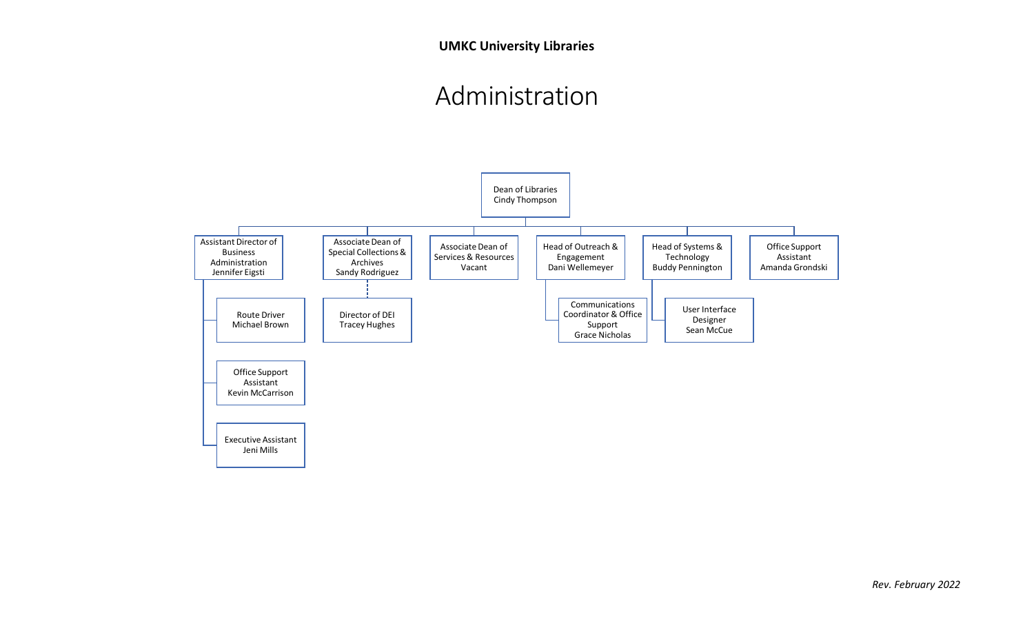## Administration

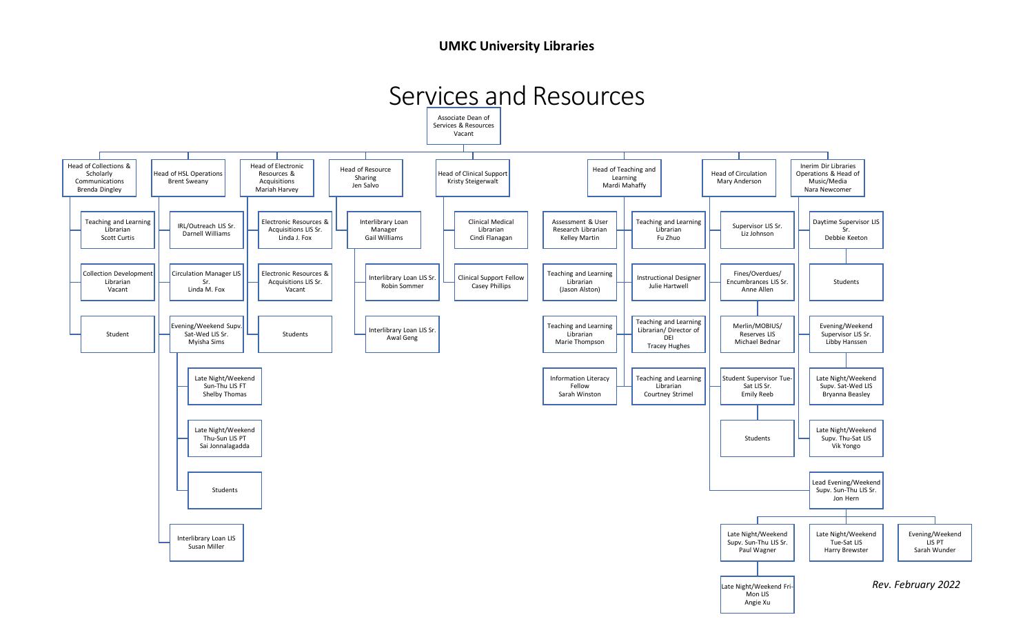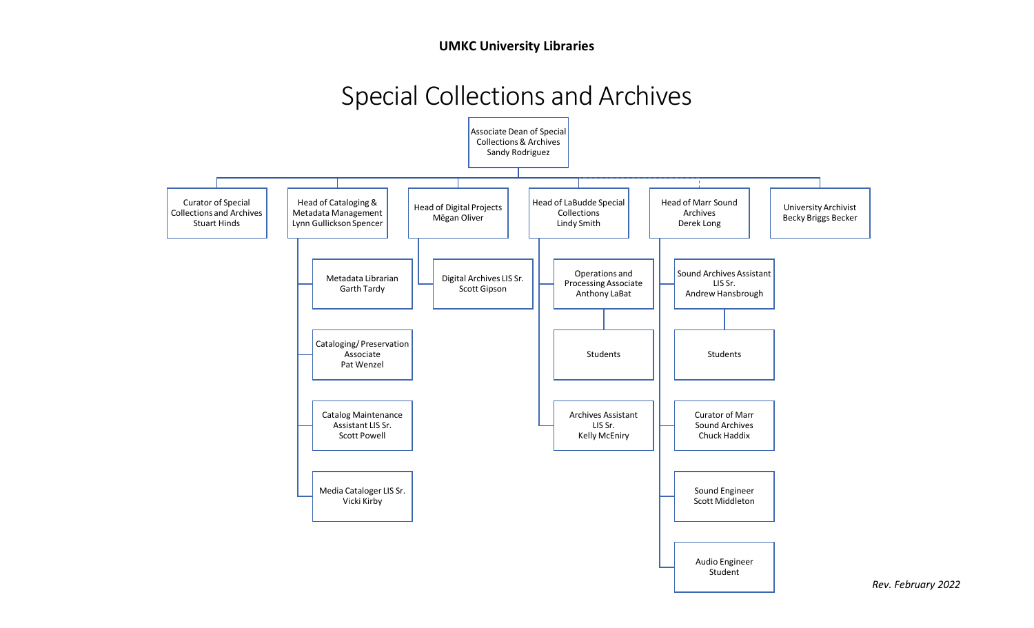## Special Collections and Archives



*Rev. February 2022*